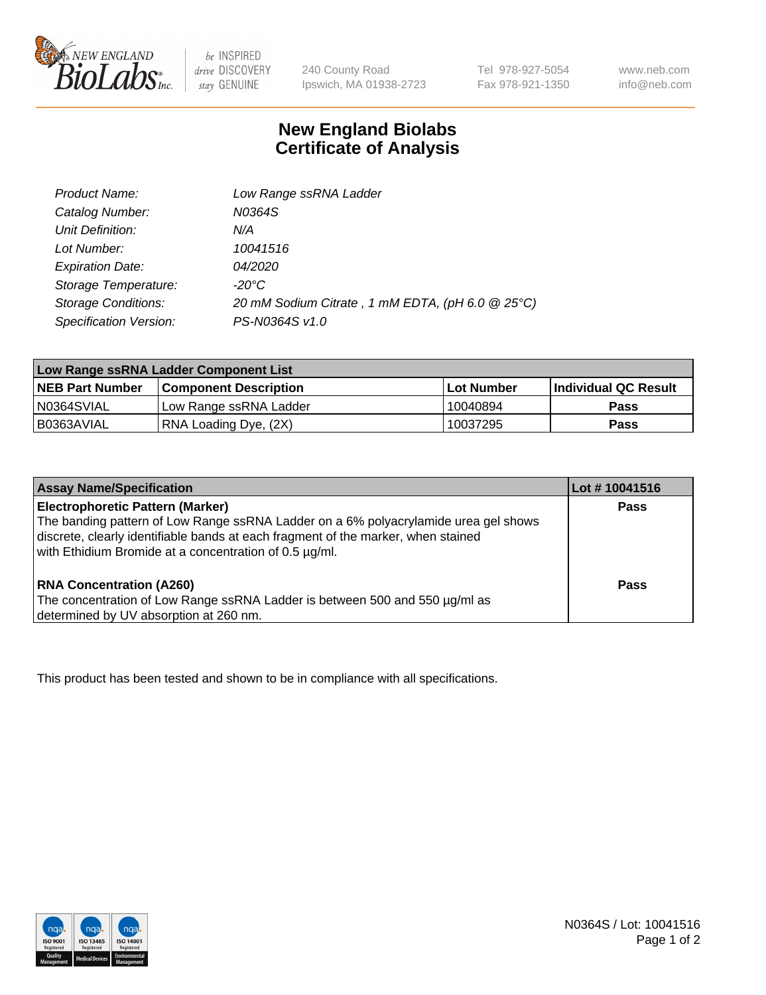

 $be$  INSPIRED drive DISCOVERY stay GENUINE

240 County Road Ipswich, MA 01938-2723

Tel 978-927-5054 Fax 978-921-1350 www.neb.com info@neb.com

## **New England Biolabs Certificate of Analysis**

| <b>Product Name:</b>       | Low Range ssRNA Ladder                           |
|----------------------------|--------------------------------------------------|
| Catalog Number:            | N0364S                                           |
| Unit Definition:           | N/A                                              |
| Lot Number:                | 10041516                                         |
| <b>Expiration Date:</b>    | <i>04/2020</i>                                   |
| Storage Temperature:       | $-20^{\circ}$ C                                  |
| <b>Storage Conditions:</b> | 20 mM Sodium Citrate, 1 mM EDTA, (pH 6.0 @ 25°C) |
| Specification Version:     | PS-N0364S v1.0                                   |

| Low Range ssRNA Ladder Component List |                              |                   |                      |  |
|---------------------------------------|------------------------------|-------------------|----------------------|--|
| <b>NEB Part Number</b>                | <b>Component Description</b> | <b>Lot Number</b> | Individual QC Result |  |
| N0364SVIAL                            | Low Range ssRNA Ladder       | 10040894          | <b>Pass</b>          |  |
| B0363AVIAL                            | RNA Loading Dye, (2X)        | 10037295          | <b>Pass</b>          |  |

| <b>Assay Name/Specification</b>                                                                                                                                                                                                                                               | Lot #10041516 |
|-------------------------------------------------------------------------------------------------------------------------------------------------------------------------------------------------------------------------------------------------------------------------------|---------------|
| <b>Electrophoretic Pattern (Marker)</b><br>The banding pattern of Low Range ssRNA Ladder on a 6% polyacrylamide urea gel shows<br>discrete, clearly identifiable bands at each fragment of the marker, when stained<br>with Ethidium Bromide at a concentration of 0.5 µg/ml. | <b>Pass</b>   |
| <b>RNA Concentration (A260)</b><br>The concentration of Low Range ssRNA Ladder is between 500 and 550 µg/ml as<br>determined by UV absorption at 260 nm.                                                                                                                      | Pass          |

This product has been tested and shown to be in compliance with all specifications.